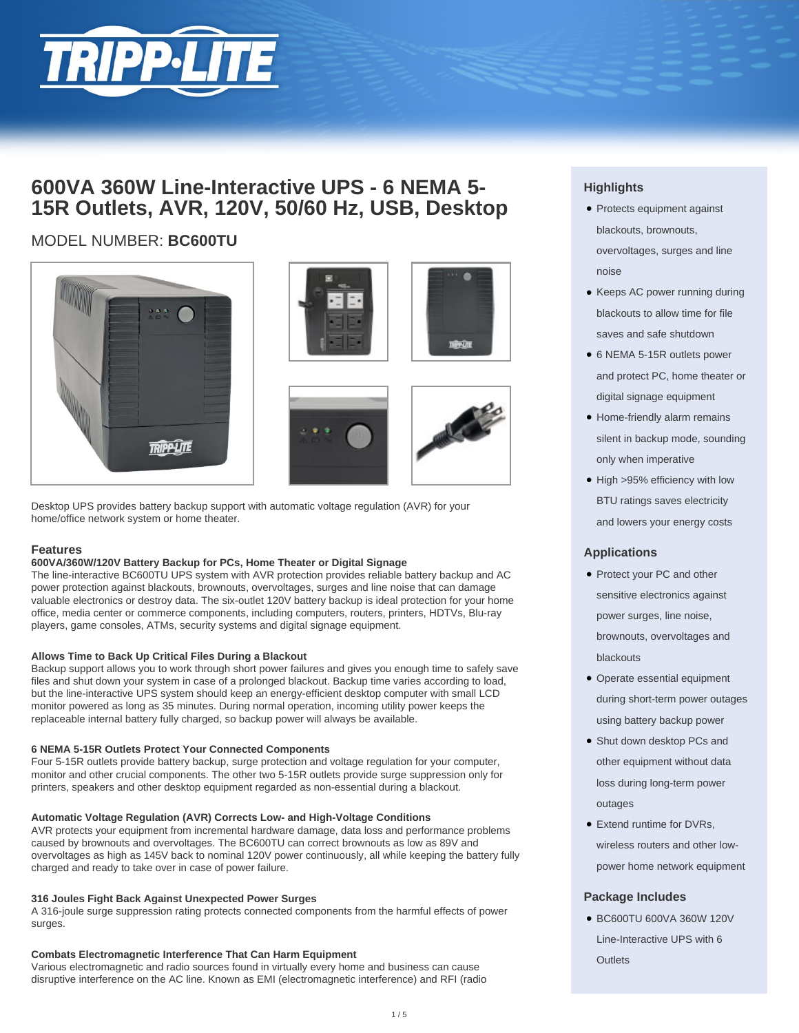

# **600VA 360W Line-Interactive UPS - 6 NEMA 5- 15R Outlets, AVR, 120V, 50/60 Hz, USB, Desktop**

## MODEL NUMBER: **BC600TU**



Desktop UPS provides battery backup support with automatic voltage regulation (AVR) for your home/office network system or home theater.

### **Features**

### **600VA/360W/120V Battery Backup for PCs, Home Theater or Digital Signage**

The line-interactive BC600TU UPS system with AVR protection provides reliable battery backup and AC power protection against blackouts, brownouts, overvoltages, surges and line noise that can damage valuable electronics or destroy data. The six-outlet 120V battery backup is ideal protection for your home office, media center or commerce components, including computers, routers, printers, HDTVs, Blu-ray players, game consoles, ATMs, security systems and digital signage equipment.

### **Allows Time to Back Up Critical Files During a Blackout**

Backup support allows you to work through short power failures and gives you enough time to safely save files and shut down your system in case of a prolonged blackout. Backup time varies according to load, but the line-interactive UPS system should keep an energy-efficient desktop computer with small LCD monitor powered as long as 35 minutes. During normal operation, incoming utility power keeps the replaceable internal battery fully charged, so backup power will always be available.

### **6 NEMA 5-15R Outlets Protect Your Connected Components**

Four 5-15R outlets provide battery backup, surge protection and voltage regulation for your computer, monitor and other crucial components. The other two 5-15R outlets provide surge suppression only for printers, speakers and other desktop equipment regarded as non-essential during a blackout.

### **Automatic Voltage Regulation (AVR) Corrects Low- and High-Voltage Conditions**

AVR protects your equipment from incremental hardware damage, data loss and performance problems caused by brownouts and overvoltages. The BC600TU can correct brownouts as low as 89V and overvoltages as high as 145V back to nominal 120V power continuously, all while keeping the battery fully charged and ready to take over in case of power failure.

### **316 Joules Fight Back Against Unexpected Power Surges**

A 316-joule surge suppression rating protects connected components from the harmful effects of power surges.

### **Combats Electromagnetic Interference That Can Harm Equipment**

Various electromagnetic and radio sources found in virtually every home and business can cause disruptive interference on the AC line. Known as EMI (electromagnetic interference) and RFI (radio

## **Highlights**

- Protects equipment against blackouts, brownouts, overvoltages, surges and line noise
- Keeps AC power running during blackouts to allow time for file saves and safe shutdown
- 6 NEMA 5-15R outlets power and protect PC, home theater or digital signage equipment
- Home-friendly alarm remains silent in backup mode, sounding only when imperative
- High >95% efficiency with low BTU ratings saves electricity and lowers your energy costs

### **Applications**

- Protect your PC and other sensitive electronics against power surges, line noise, brownouts, overvoltages and blackouts
- Operate essential equipment during short-term power outages using battery backup power
- Shut down desktop PCs and other equipment without data loss during long-term power outages
- Extend runtime for DVRs, wireless routers and other lowpower home network equipment

### **Package Includes**

● BC600TU 600VA 360W 120V Line-Interactive UPS with 6  $Q$ utlets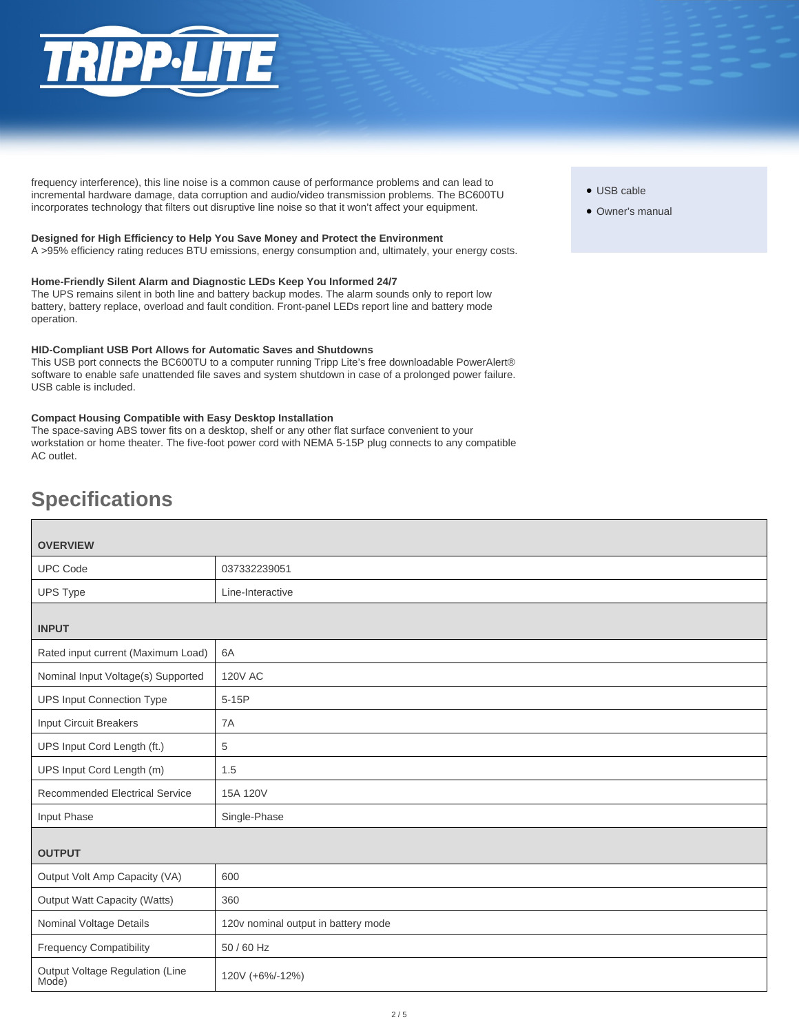

frequency interference), this line noise is a common cause of performance problems and can lead to incremental hardware damage, data corruption and audio/video transmission problems. The BC600TU incorporates technology that filters out disruptive line noise so that it won't affect your equipment.

### **Designed for High Efficiency to Help You Save Money and Protect the Environment**

A >95% efficiency rating reduces BTU emissions, energy consumption and, ultimately, your energy costs.

### **Home-Friendly Silent Alarm and Diagnostic LEDs Keep You Informed 24/7**

The UPS remains silent in both line and battery backup modes. The alarm sounds only to report low battery, battery replace, overload and fault condition. Front-panel LEDs report line and battery mode operation.

#### **HID-Compliant USB Port Allows for Automatic Saves and Shutdowns**

This USB port connects the BC600TU to a computer running Tripp Lite's free downloadable PowerAlert® software to enable safe unattended file saves and system shutdown in case of a prolonged power failure. USB cable is included.

### **Compact Housing Compatible with Easy Desktop Installation**

The space-saving ABS tower fits on a desktop, shelf or any other flat surface convenient to your workstation or home theater. The five-foot power cord with NEMA 5-15P plug connects to any compatible AC outlet.

# **Specifications**

| <b>OVERVIEW</b>                          |                                     |  |
|------------------------------------------|-------------------------------------|--|
| <b>UPC Code</b>                          | 037332239051                        |  |
| <b>UPS Type</b>                          | Line-Interactive                    |  |
| <b>INPUT</b>                             |                                     |  |
| Rated input current (Maximum Load)       | 6A                                  |  |
| Nominal Input Voltage(s) Supported       | <b>120V AC</b>                      |  |
| <b>UPS Input Connection Type</b>         | $5-15P$                             |  |
| <b>Input Circuit Breakers</b>            | 7A                                  |  |
| UPS Input Cord Length (ft.)              | 5                                   |  |
| UPS Input Cord Length (m)                | 1.5                                 |  |
| <b>Recommended Electrical Service</b>    | 15A 120V                            |  |
| Input Phase                              | Single-Phase                        |  |
| <b>OUTPUT</b>                            |                                     |  |
| Output Volt Amp Capacity (VA)            | 600                                 |  |
| <b>Output Watt Capacity (Watts)</b>      | 360                                 |  |
| Nominal Voltage Details                  | 120v nominal output in battery mode |  |
| <b>Frequency Compatibility</b>           | 50 / 60 Hz                          |  |
| Output Voltage Regulation (Line<br>Mode) | 120V (+6%/-12%)                     |  |

- USB cable
- Owner's manual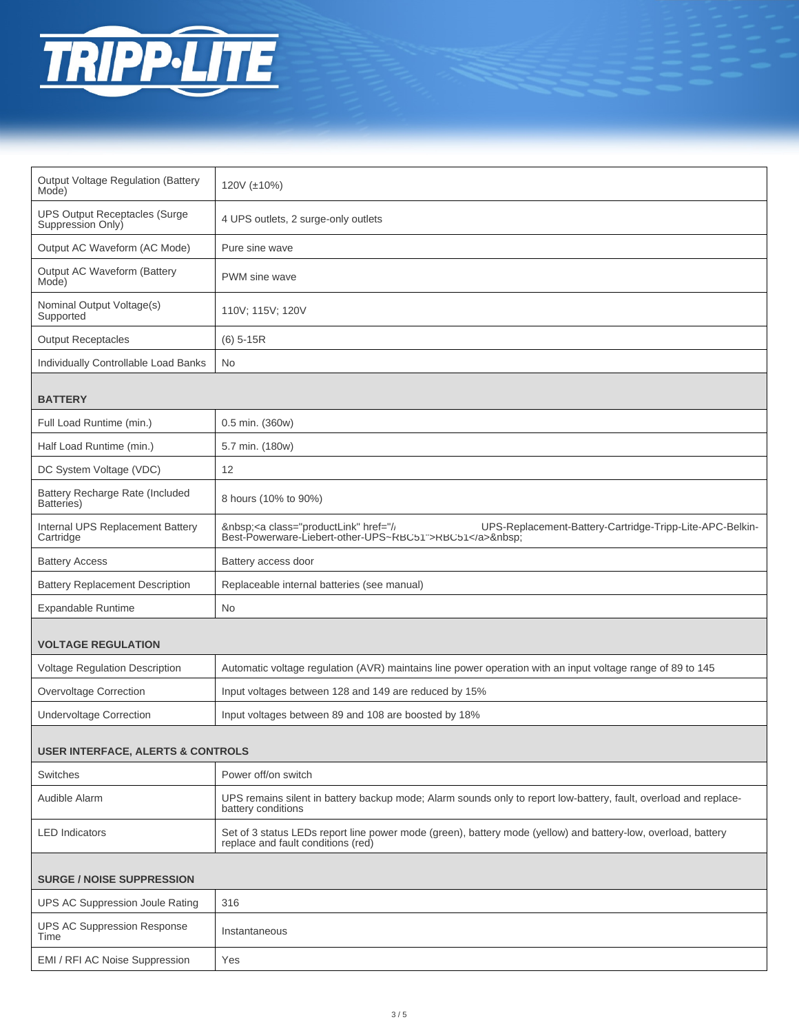

| <b>Output Voltage Regulation (Battery</b><br>Mode)        | 120V (±10%)                                                                                                                                                  |  |
|-----------------------------------------------------------|--------------------------------------------------------------------------------------------------------------------------------------------------------------|--|
| <b>UPS Output Receptacles (Surge</b><br>Suppression Only) | 4 UPS outlets, 2 surge-only outlets                                                                                                                          |  |
| Output AC Waveform (AC Mode)                              | Pure sine wave                                                                                                                                               |  |
| Output AC Waveform (Battery<br>Mode)                      | PWM sine wave                                                                                                                                                |  |
| Nominal Output Voltage(s)<br>Supported                    | 110V; 115V; 120V                                                                                                                                             |  |
| <b>Output Receptacles</b>                                 | $(6)$ 5-15R                                                                                                                                                  |  |
| Individually Controllable Load Banks                      | No                                                                                                                                                           |  |
| <b>BATTERY</b>                                            |                                                                                                                                                              |  |
| Full Load Runtime (min.)                                  | 0.5 min. (360w)                                                                                                                                              |  |
| Half Load Runtime (min.)                                  | 5.7 min. (180w)                                                                                                                                              |  |
| DC System Voltage (VDC)                                   | 12                                                                                                                                                           |  |
| Battery Recharge Rate (Included<br>Batteries)             | 8 hours (10% to 90%)                                                                                                                                         |  |
| Internal UPS Replacement Battery<br>Cartridge             | <a class="productLink" href="//&lt;br&gt;UPS-Replacement-Battery-Cartridge-Tripp-Lite-APC-Belkin-&lt;br&gt;Best-Powerware-Liebert-other-UPS~RBC51">RBC51</a> |  |
| <b>Battery Access</b>                                     | Battery access door                                                                                                                                          |  |
| <b>Battery Replacement Description</b>                    | Replaceable internal batteries (see manual)                                                                                                                  |  |
| Expandable Runtime                                        | <b>No</b>                                                                                                                                                    |  |
| <b>VOLTAGE REGULATION</b>                                 |                                                                                                                                                              |  |
| Voltage Regulation Description                            | Automatic voltage regulation (AVR) maintains line power operation with an input voltage range of 89 to 145                                                   |  |
| <b>Overvoltage Correction</b>                             | Input voltages between 128 and 149 are reduced by 15%                                                                                                        |  |
| <b>Undervoltage Correction</b>                            | Input voltages between 89 and 108 are boosted by 18%                                                                                                         |  |
| USER INTERFACE, ALERTS & CONTROLS                         |                                                                                                                                                              |  |
| Switches                                                  | Power off/on switch                                                                                                                                          |  |
| Audible Alarm                                             | UPS remains silent in battery backup mode; Alarm sounds only to report low-battery, fault, overload and replace-<br>battery conditions                       |  |
| <b>LED</b> Indicators                                     | Set of 3 status LEDs report line power mode (green), battery mode (yellow) and battery-low, overload, battery<br>replace and fault conditions (red)          |  |
| <b>SURGE / NOISE SUPPRESSION</b>                          |                                                                                                                                                              |  |
| <b>UPS AC Suppression Joule Rating</b>                    | 316                                                                                                                                                          |  |
| <b>UPS AC Suppression Response</b><br>Time                | Instantaneous                                                                                                                                                |  |
| EMI / RFI AC Noise Suppression                            | Yes                                                                                                                                                          |  |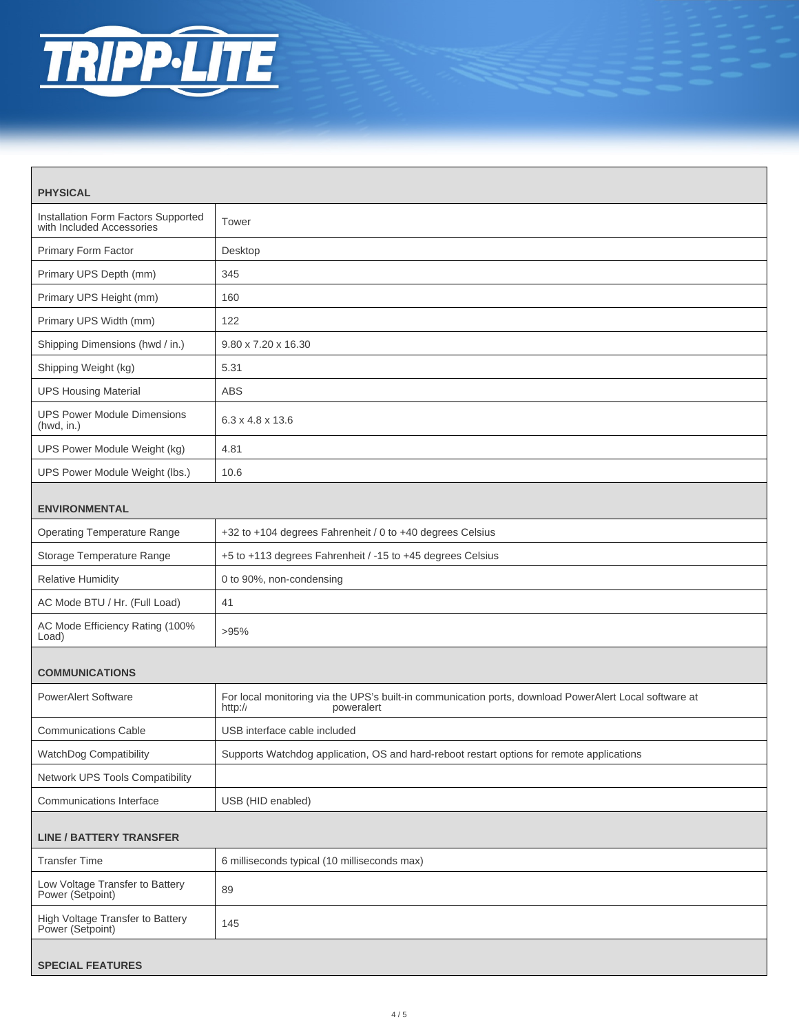

| <b>PHYSICAL</b>                                                  |                                                                                                                                 |  |
|------------------------------------------------------------------|---------------------------------------------------------------------------------------------------------------------------------|--|
| Installation Form Factors Supported<br>with Included Accessories | Tower                                                                                                                           |  |
| Primary Form Factor                                              | Desktop                                                                                                                         |  |
| Primary UPS Depth (mm)                                           | 345                                                                                                                             |  |
| Primary UPS Height (mm)                                          | 160                                                                                                                             |  |
| Primary UPS Width (mm)                                           | 122                                                                                                                             |  |
| Shipping Dimensions (hwd / in.)                                  | 9.80 x 7.20 x 16.30                                                                                                             |  |
| Shipping Weight (kg)                                             | 5.31                                                                                                                            |  |
| <b>UPS Housing Material</b>                                      | <b>ABS</b>                                                                                                                      |  |
| <b>UPS Power Module Dimensions</b><br>(hwd, in.)                 | $6.3 \times 4.8 \times 13.6$                                                                                                    |  |
| UPS Power Module Weight (kg)                                     | 4.81                                                                                                                            |  |
| UPS Power Module Weight (lbs.)                                   | 10.6                                                                                                                            |  |
| <b>ENVIRONMENTAL</b>                                             |                                                                                                                                 |  |
| <b>Operating Temperature Range</b>                               | +32 to +104 degrees Fahrenheit / 0 to +40 degrees Celsius                                                                       |  |
| Storage Temperature Range                                        | +5 to +113 degrees Fahrenheit / -15 to +45 degrees Celsius                                                                      |  |
| <b>Relative Humidity</b>                                         | 0 to 90%, non-condensing                                                                                                        |  |
| AC Mode BTU / Hr. (Full Load)                                    | 41                                                                                                                              |  |
| AC Mode Efficiency Rating (100%<br>Load)                         | >95%                                                                                                                            |  |
| <b>COMMUNICATIONS</b>                                            |                                                                                                                                 |  |
| <b>PowerAlert Software</b>                                       | For local monitoring via the UPS's built-in communication ports, download PowerAlert Local software at<br>http://<br>poweralert |  |
| <b>Communications Cable</b>                                      | USB interface cable included                                                                                                    |  |
| WatchDog Compatibility                                           | Supports Watchdog application, OS and hard-reboot restart options for remote applications                                       |  |
| Network UPS Tools Compatibility                                  |                                                                                                                                 |  |
| <b>Communications Interface</b>                                  | USB (HID enabled)                                                                                                               |  |
| <b>LINE / BATTERY TRANSFER</b>                                   |                                                                                                                                 |  |
| <b>Transfer Time</b>                                             | 6 milliseconds typical (10 milliseconds max)                                                                                    |  |
| Low Voltage Transfer to Battery<br>Power (Setpoint)              | 89                                                                                                                              |  |
| High Voltage Transfer to Battery<br>Power (Setpoint)             | 145                                                                                                                             |  |
| <b>SPECIAL FEATURES</b>                                          |                                                                                                                                 |  |